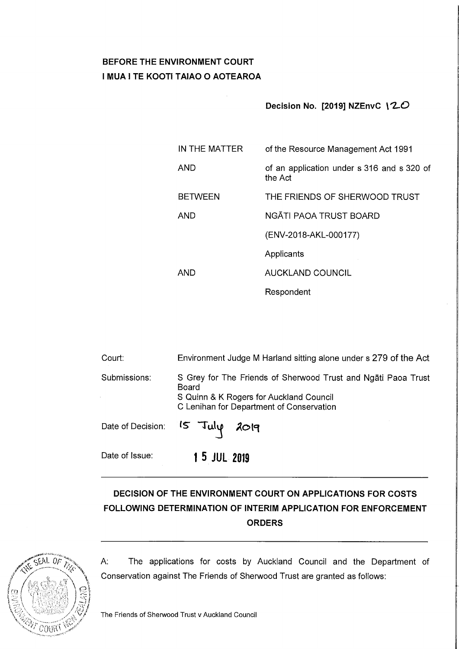# **BEFORE THE ENVIRONMENT COURT I MUA I TE KOOTI TAIAO O AOTEAROA**

## **Decision No. [2019] NZEnvC** \ **~0**

| IN THE MATTER  | of the Resource Management Act 1991                   |
|----------------|-------------------------------------------------------|
| <b>AND</b>     | of an application under s 316 and s 320 of<br>the Act |
| <b>BETWEEN</b> | THE FRIENDS OF SHERWOOD TRUST                         |
| AND            | NGĀTI PAOA TRUST BOARD                                |
|                | (ENV-2018-AKL-000177)                                 |
|                | Applicants                                            |
| AND            | AUCKLAND COUNCIL                                      |
|                | Respondent                                            |

| Court:         | Environment Judge M Harland sitting alone under s 279 of the Act                                                                                              |
|----------------|---------------------------------------------------------------------------------------------------------------------------------------------------------------|
| Submissions:   | S Grey for The Friends of Sherwood Trust and Ngati Paoa Trust<br>Board<br>S Quinn & K Rogers for Auckland Council<br>C Lenihan for Department of Conservation |
|                | Date of Decision: 15 July 2019                                                                                                                                |
| Date of Issue: | 1 5 JUL 2019                                                                                                                                                  |

# **DECISION OF THE ENVIRONMENT COURT ON APPLICATIONS FOR COSTS FOLLOWING DETERMINATION OF INTERIM APPLICATION FOR ENFORCEMENT ORDERS**



A: The applications for costs by Auckland Council and the Department of Conservation against The Friends of Sherwood Trust are granted as follows: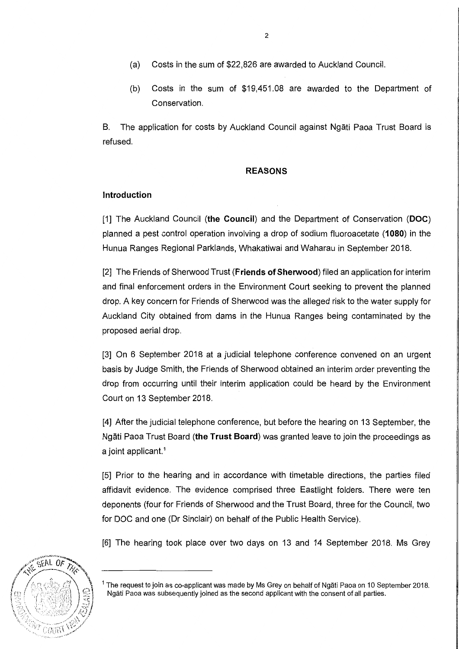- (a) Costs in the sum of \$22,826 are awarded to Auckland Council.
- (b) Costs in the sum of \$19,451.08 are awarded to the Department of Conservation.

8. The application for costs by Auckland Council against Ngati Paoa Trust Board is refused.

#### **REASONS**

## **Introduction**

[1] The Auckland Council **(the Council)** and the Department of Conservation **(DOC)**  planned a pest control operation involving a drop of sodium fluoroacetate **(1080)** in the Hunua Ranges Regional Parklands, Whakatiwai and Waharau in September 2018.

[2] The Friends of Sherwood Trust **(Friends of Sherwood)** filed an application for interim and final enforcement orders in the Environment Court seeking to prevent the planned drop. A key concern for Friends of Sherwood was the alleged risk to the water supply for Auckland City obtained from dams in the Hunua Ranges being contaminated by the proposed aerial drop.

[3] On 6 September 2018 at a judicial telephone conference convened on an urgent basis by Judge Smith, the Friends of Sherwood obtained an interim order preventing the drop from occurring until their interim application could be heard by the Environment Court on 13 September 2018.

[4] After the judicial telephone conference, but before the hearing on 13 September, the Ngati Paoa Trust Board **(the Trust Board)** was granted leave to join the proceedings as a joint applicant.<sup>1</sup>

[5] Prior to the hearing and in accordance with timetable directions, the parties filed affidavit evidence. The evidence comprised three Eastlight folders. There were ten deponents (four for Friends of Sherwood and the Trust Board, three for the Council, two for DOC and one (Dr Sinclair) on behalf of the Public Health Service).

[6] The hearing took place over two days on 13 and 14 September 2018. Ms Grey



 $1$  The request to join as co-applicant was made by Ms Grey on behalf of Ngăti Paoa on 10 September 2018. Ngati Paoa was subsequently joined as the second applicant with the consent of all parties.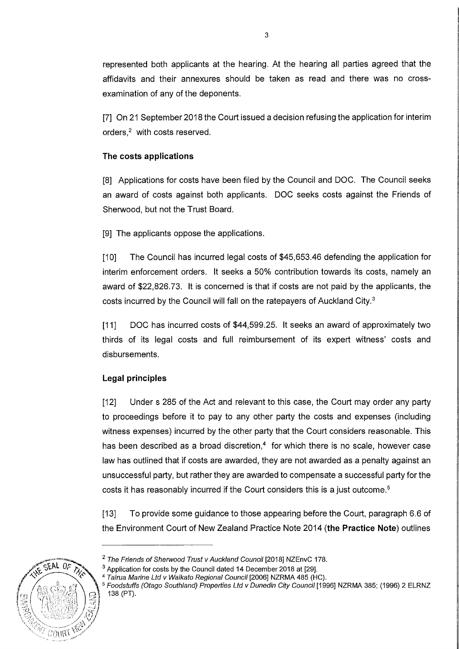represented both applicants at the hearing. At the hearing all parties agreed that the affidavits and their annexures should be taken as read and there was no crossexamination of any of the deponents.

[7] On 21 September 2018 the Court issued a decision refusing the application for interim orders.<sup>2</sup> with costs reserved.

### **The costs applications**

[8] Applications for costs have been filed by the Council and DOC. The Council seeks an award of costs against both applicants. DOC seeks costs against the Friends of Sherwood, but not the Trust Board.

[9] The applicants oppose the applications.

[10] The Council has incurred legal costs of \$45,653.46 defending the application for interim enforcement orders. It seeks a 50% contribution towards its costs, namely an award of \$22,826.73. It is concerned is that if costs are not paid by the applicants, the costs incurred by the Council will fall on the ratepayers of Auckland City. <sup>3</sup>

[11] DOC has incurred costs of \$44,599.25. It seeks an award of approximately two thirds of its legal costs and full reimbursement of its expert witness' costs and disbursements.

# **Legal principles**

[12] Under s 285 of the Act and relevant to this case, the Court may order any party to proceedings before it to pay to any other party the costs and expenses (including witness expenses) incurred by the other party that the Court considers reasonable. This has been described as a broad discretion, $4\,$  for which there is no scale, however case law has outlined that if costs are awarded, they are not awarded as a penalty against an unsuccessful party, but rather they are awarded to compensate a successful party for the costs it has reasonably incurred if the Court considers this is a just outcome.<sup>5</sup>

[13] To provide some guidance to those appearing before the Court, paragraph 6.6 of the Environment Court of New Zealand Practice Note 2014 **(the Practice Note)** outlines



 $\overline{P}$   $\overline{CP}$   $\overline{CP}$   $\overline{CP}$   $\overline{CP}$   $\overline{CP}$   $\overline{CP}$   $\overline{CP}$   $\overline{CP}$   $\overline{CP}$   $\overline{CP}$   $\overline{CP}$   $\overline{CP}$   $\overline{CP}$   $\overline{CP}$   $\overline{CP}$   $\overline{CP}$   $\overline{CP}$   $\overline{CP}$   $\overline{CP}$   $\overline{CP}$   $\overline{CP}$   $\overline{CP}$   $\overline{CP}$   $\overline{$ 

<sup>&</sup>lt;sup>3</sup> Application for costs by the Council dated 14 December 2018 at [29].

<sup>&</sup>lt;sup>4</sup> Tairua Marine Ltd v Waikato Regional Council [2006] NZRMA 485 (HC).

<sup>&</sup>lt;sup>5</sup> Foodstuffs (Otago Southland) Properties Ltd v Dunedin City Council [1996] NZRMA 385; (1996) 2 ELRNZ 138 (PT).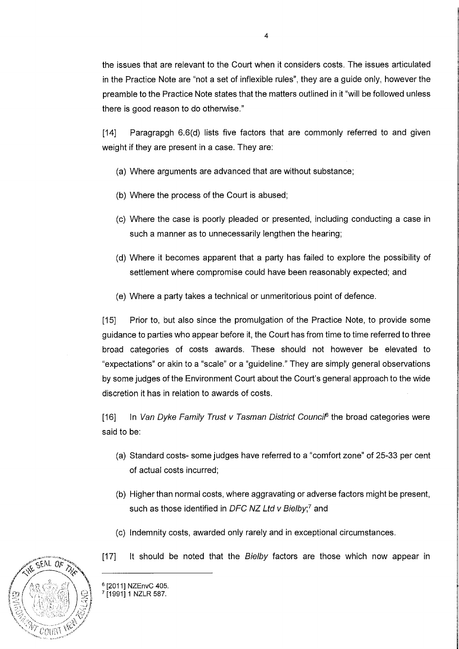the issues that are relevant to the Court when it considers costs. The issues articulated in the Practice Note are "not a set of inflexible rules", they are a guide only, however the preamble to the Practice Note states that the matters outlined in it "will be followed unless there is good reason to do otherwise."

[14] Paragrapgh 6.6(d) lists five factors that are commonly referred to and given weight if they are present in a case. They are:

- (a) Where arguments are advanced that are without substance;
- (b) Where the process of the Court is abused;
- (c) Where the case is poorly pleaded or presented, including conducting a case in such a manner as to unnecessarily lengthen the hearing;
- (d) Where it becomes apparent that a party has failed to explore the possibility of settlement where compromise could have been reasonably expected; and
- (e) Where a party takes a technical or unmeritorious point of defence.

[15] Prior to, but also since the promulgation of the Practice Note, to provide some guidance to parties who appear before it, the Court has from time to time referred to three broad categories of costs awards. These should not however be elevated to "expectations" or akin to a "scale" or a "guideline." They are simply general observations by some judges of the Environment Court about the Court's general approach to the wide discretion it has in relation to awards of costs.

[16] In Van Dyke Family Trust v Tasman District Counci<sup>6</sup> the broad categories were said to be:

- (a) Standard costs- some judges have referred to a "comfort zone" of 25-33 per cent of actual costs incurred;
- (b) Higher than normal costs, where aggravating or adverse factors might be present, such as those identified in DFC NZ Ltd  $v$  Bielby;<sup>7</sup> and
- (c) Indemnity costs, awarded only rarely and in exceptional circumstances.
- [17] It should be noted that the Bielby factors are those which now appear in



<sup>6</sup> [2011] NZEnvC 405.<br><sup>7</sup> [1991] 1 NZLR 587.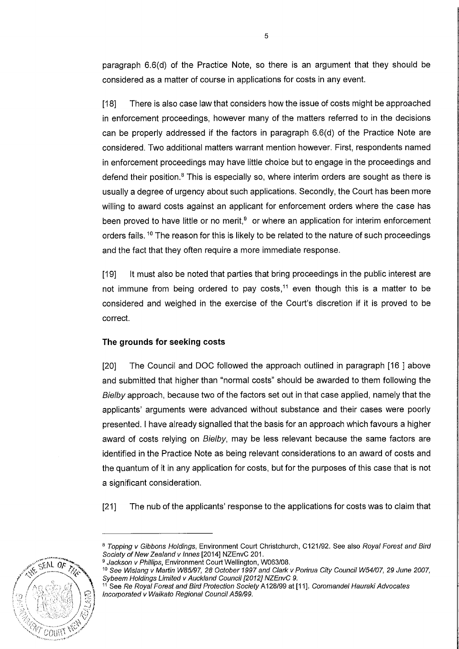paragraph 6.6(d) of the Practice Note, so there is an argument that they should be considered as a matter of course in applications for costs in any event.

[18] There is also case law that considers how the issue of costs might be approached in enforcement proceedings, however many of the matters referred to in the decisions can be properly addressed if the factors in paragraph 6.6(d) of the Practice Note are considered. Two additional matters warrant mention however. First, respondents named in enforcement proceedings may have little choice but to engage in the proceedings and defend their position.<sup>8</sup> This is especially so, where interim orders are sought as there is usually a degree of urgency about such applications. Secondly, the Court has been more willing to award costs against an applicant for enforcement orders where the case has been proved to have little or no merit, $9$  or where an application for interim enforcement orders fails.<sup>10</sup> The reason for this is likely to be related to the nature of such proceedings and the fact that they often require a more immediate response.

[19] It must also be noted that parties that bring proceedings in the public interest are not immune from being ordered to pay costs,<sup>11</sup> even though this is a matter to be considered and weighed in the exercise of the Court's discretion if it is proved to be correct.

#### **The grounds for seeking costs**

[20] The Council and DOC followed the approach outlined in paragraph [16 ] above and submitted that higher than "normal costs" should be awarded to them following the Bielby approach, because two of the factors set out in that case applied, namely that the applicants' arguments were advanced without substance and their cases were poorly presented. I have already signalled that the basis for an approach which favours a higher award of costs relying on Bielby, may be less relevant because the same factors are identified in the Practice Note as being relevant considerations to an award of costs and the quantum of it in any application for costs, but for the purposes of this case that is not a significant consideration.

[21] The nub of the applicants' response to the applications for costs was to claim that

<sup>&</sup>lt;sup>11</sup> See Re Royal Forest and Bird Protection Society A128/99 at [11]. Coromandel Hauraki Advocates Incorporated v Waikato Regional Council A59/99.



<sup>8</sup> Topping v Gibbons Holdings, Environment Court Christchurch, C121/92. See also Royal Forest and Bird Society of New Zealand v Innes [2014] NZEnvC 201.<br><sup>9</sup> Jackson v Phillips, Environment Court Wellington, W063/08.

<sup>10</sup> See Wislang v Martin W85/97, 28 October 1997 and Clark v Porirua City Council W54/07, 29 June 2007, Sybeem Holdings Limited v Auckland Council [2012] NZEnvC 9.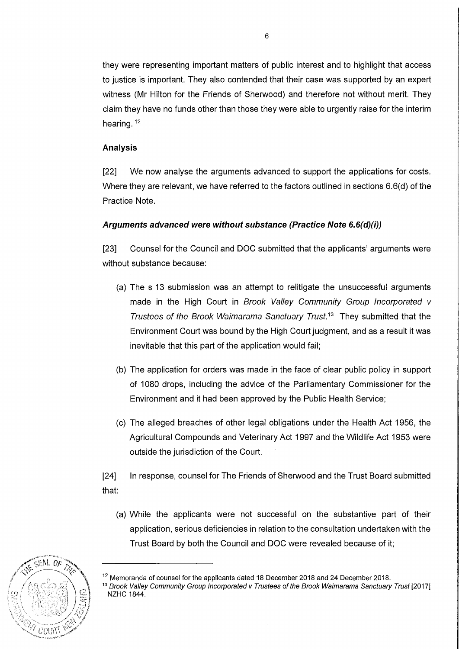they were representing important matters of public interest and to highlight that access to justice is important. They also contended that their case was supported by an expert witness (Mr Hilton for the Friends of Sherwood) and therefore not without merit. They claim they have no funds other than those they were able to urgently raise for the interim hearing. <sup>12</sup>

# **Analysis**

[22] We now analyse the arguments advanced to support the applications for costs. Where they are relevant, we have referred to the factors outlined in sections 6.6(d) of the Practice Note.

# **Arguments advanced were without substance (Practice Note 6.6(d)(i))**

[23] Counsel for the Council and DOC submitted that the applicants' arguments were without substance because:

- (a) The s 13 submission was an attempt to relitigate the unsuccessful arguments made in the High Court in Brook Valley Community Group Incorporated v Trustees of the Brook Waimarama Sanctuary Trust.<sup>13</sup> They submitted that the Environment Court was bound by the High Court judgment, and as a result it was inevitable that this part of the application would fail;
- (b) The application for orders was made in the face of clear public policy in support of 1080 drops, including the advice of the Parliamentary Commissioner for the Environment and it had been approved by the Public Health Service;
- (c) The alleged breaches of other legal obligations under the Health Act 1956, the Agricultural Compounds and Veterinary Act 1997 and the Wildlife Act 1953 were outside the jurisdiction of the Court.

[24] In response, counsel for The Friends of Sherwood and the Trust Board submitted that:

(a) While the applicants were not successful on the substantive part of their application, serious deficiencies in relation to the consultation undertaken with the Trust Board by both the Council and DOC were revealed because of it;



<sup>&</sup>lt;sup>12</sup> Memoranda of counsel for the applicants dated 18 December 2018 and 24 December 2018.

<sup>13</sup> Brook Valley Community Group Incorporated v Trustees of the Brook Waimarama Sanctuary Trust [2017] NZHC 1844.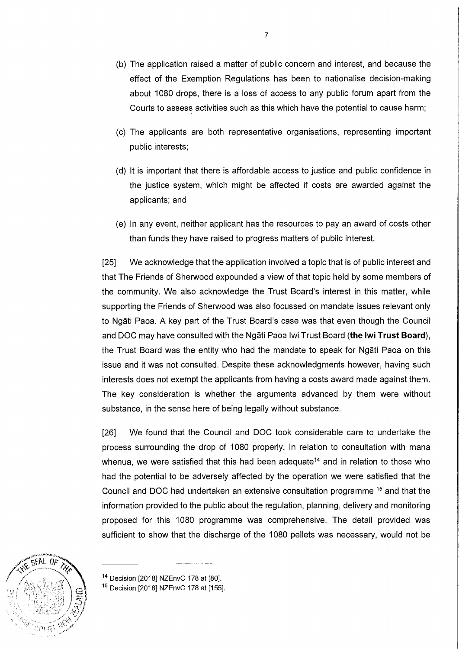- (b) The application raised a matter of public concern and interest, and because the effect of the Exemption Regulations has been to nationalise decision-making about 1080 drops, there is a loss of access to any public forum apart from the Courts to assess activities such as this which have the potential to cause harm;
- (c) The applicants are both representative organisations, representing important public interests;
- (d) It is important that there is affordable access to justice and public confidence in the justice system, which might be affected if costs are awarded against the applicants; and
- (e) In any event, neither applicant has the resources to pay an award of costs other than funds they have raised to progress matters of public interest.

[25] We acknowledge that the application involved a topic that is of public interest and that The Friends of Sherwood expounded a view of that topic held by some members of the community. We also acknowledge the Trust Board's interest in this matter, while supporting the Friends of Sherwood was also focussed on mandate issues relevant only to Ngati Paoa. A key part of the Trust Board's case was that even though the Council and DOC may have consulted with the Ngati Paoa lwi Trust Board **(the lwi Trust Board),**  the Trust Board was the entity who had the mandate to speak for Ngati Paoa on this issue and it was not consulted. Despite these acknowledgments however, having such interests does not exempt the applicants from having a costs award made against them. The key consideration is whether the arguments advanced by them were without substance, in the sense here of being legally without substance.

[26] We found that the Council and DOC took considerable care to undertake the process surrounding the drop of 1080 properly. In relation to consultation with mana whenua, we were satisfied that this had been adequate<sup>14</sup> and in relation to those who had the potential to be adversely affected by the operation we were satisfied that the Council and DOC had undertaken an extensive consultation programme <sup>15</sup> and that the information provided to the public about the regulation, planning, delivery and monitoring proposed for this 1080 programme was comprehensive. The detail provided was sufficient to show that the discharge of the 1080 pellets was necessary, would not be



<sup>&</sup>lt;sup>14</sup> Decision [2018] NZEnvC 178 at [80].

<sup>&</sup>lt;sup>15</sup> Decision [2018] NZEnvC 178 at [155].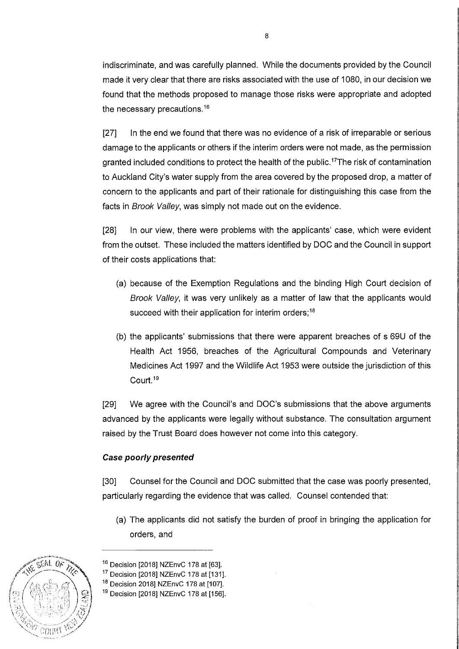indiscriminate, and was carefully planned. While the documents provided by the Council made it very clear that there are risks associated with the use of 1080, in our decision we found that the methods proposed to manage those risks were appropriate and adopted the necessary precautions.<sup>16</sup>

[27] In the end we found that there was no evidence of a risk of irreparable or serious damage to the applicants or others if the interim orders were not made, as the permission granted included conditions to protect the health of the public. <sup>17</sup>The risk of contamination to Auckland City's water supply from the area covered by the proposed drop, a matter of concern to the applicants and part of their rationale for distinguishing this case from the facts in Brook Valley, was simply not made out on the evidence.

[28] In our view, there were problems with the applicants' case, which were evident from the outset. These included the matters identified by DOC and the Council in support of their costs applications that:

- (a) because of the Exemption Regulations and the binding High Court decision of Brook Valley, it was very unlikely as a matter of law that the applicants would succeed with their application for interim orders;<sup>18</sup>
- (b) the applicants' submissions that there were apparent breaches of s 69U of the Health Act 1956, breaches of the Agricultural Compounds and Veterinary Medicines Act 1997 and the Wildlife Act 1953 were outside the jurisdiction of this Court.<sup>19</sup>

[29] We agree with the Council's and DOC's submissions that the above arguments advanced by the applicants were legally without substance. The consultation argument raised by the Trust Board does however not come into this category.

#### **Case poorly presented**

[30] Counsel for the Council and DOC submitted that the case was poorly presented, particularly regarding the evidence that was called. Counsel contended that:

(a) The applicants did not satisfy the burden of proof in bringing the application for orders, and



<sup>&</sup>lt;sup>16</sup> Decision [2018] NZEnvC 178 at [63].

<sup>&</sup>lt;sup>17</sup> Decision [2018] NZEnvC 178 at [131].

<sup>&</sup>lt;sup>18</sup> Decision 2018] NZEnvC 178 at [107].

<sup>&</sup>lt;sup>19</sup> Decision [2018] NZEnvC 178 at [156].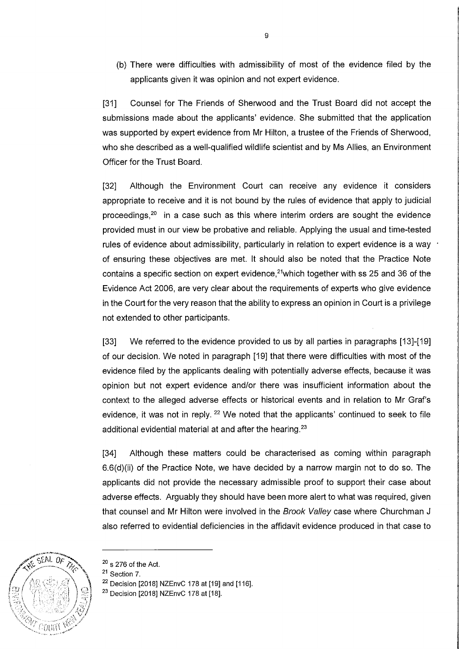(b) There were difficulties with admissibility of most of the evidence filed by the applicants given it was opinion and not expert evidence.

[31] Counsel for The Friends of Sherwood and the Trust Board did not accept the submissions made about the applicants' evidence. She submitted that the application was supported by expert evidence from Mr Hilton, a trustee of the Friends of Sherwood, who she described as a well-qualified wildlife scientist and by Ms Allies, an Environment Officer for the Trust Board.

[32] Although the Environment Court can receive any evidence it considers appropriate to receive and it is not bound by the rules of evidence that apply to judicial proceedings, $20$  in a case such as this where interim orders are sought the evidence provided must in our view be probative and reliable. Applying the usual and time-tested rules of evidence about admissibility, particularly in relation to expert evidence is a way  $\cdot$ of ensuring these objectives are met. It should also be noted that the Practice Note contains a specific section on expert evidence, $21$ which together with ss 25 and 36 of the Evidence Act 2006, are very clear about the requirements of experts who give evidence in the Court for the very reason that the ability to express an opinion in Court is a privilege not extended to other participants.

[33] We referred to the evidence provided to us by all parties in paragraphs [13]-[19] of our decision. We noted in paragraph [19] that there were difficulties with most of the evidence filed by the applicants dealing with potentially adverse effects, because it was opinion but not expert evidence and/or there was insufficient information about the context to the alleged adverse effects or historical events and in relation to Mr Graf's evidence, it was not in reply.  $22$  We noted that the applicants' continued to seek to file additional evidential material at and after the hearing.<sup>23</sup>

[34] Although these matters could be characterised as coming within paragraph 6.6(d)(ii) of the Practice Note, we have decided by a narrow margin not to do so. The applicants did not provide the necessary admissible proof to support their case about adverse effects. Arguably they should have been more alert to what was required, given that counsel and Mr Hilton were involved in the Brook Valley case where Churchman J also referred to evidential deficiencies in the affidavit evidence produced in that case to



 $20$  s 276 of the Act.

<sup>&</sup>lt;sup>21</sup> Section 7.

 $22$  Decision [2018] NZEnvC 178 at [19] and [116].

<sup>&</sup>lt;sup>23</sup> Decision [2018] NZEnvC 178 at [18].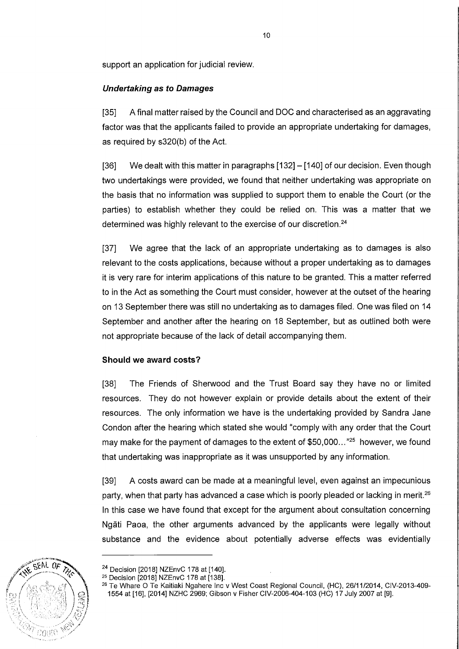support an application for judicial review.

## **Undertaking as to Damages**

[35] A final matter raised by the Council and DOC and characterised as an aggravating factor was that the applicants failed to provide an appropriate undertaking for damages, as required by s320(b) of the Act.

[36] We dealt with this matter in paragraphs [132] - [140] of our decision. Even though two undertakings were provided, we found that neither undertaking was appropriate on the basis that no information was supplied to support them to enable the Court (or the parties) to establish whether they could be relied on. This was a matter that we determined was highly relevant to the exercise of our discretion.<sup>24</sup>

[37] We agree that the lack of an appropriate undertaking as to damages is also relevant to the costs applications, because without a proper undertaking as to damages it is very rare for interim applications of this nature to be granted. This a matter referred to in the Act as something the Court must consider, however at the outset of the hearing on 13 September there was still no undertaking as to damages filed. One was filed on 14 September and another after the hearing on 18 September, but as outlined both were not appropriate because of the lack of detail accompanying them.

#### **Should we award costs?**

[38] The Friends of Sherwood and the Trust Board say they have no or limited resources. They do not however explain or provide details about the extent of their resources. The only information we have is the undertaking provided by Sandra Jane Condon after the hearing which stated she would "comply with any order that the Court may make for the payment of damages to the extent of  $$50,000...$  " $^{25}$  however, we found that undertaking was inappropriate as it was unsupported by any information.

[39] A costs award can be made at a meaningful level, even against an impecunious party, when that party has advanced a case which is poorly pleaded or lacking in merit.<sup>26</sup> In this case we have found that except for the argument about consultation concerning Ngati Paoa, the other arguments advanced by the applicants were legally without substance and the evidence about potentially adverse effects was evidentially



<sup>&</sup>lt;sup>24</sup> Decision [2018] NZEnvC 178 at [140].

<sup>25</sup> Decision [2018] NZEnvC 178 at [138].

<sup>&</sup>lt;sup>26</sup> Te Whare O Te Kaitiaki Ngahere Inc v West Coast Regional Council, (HC), 26/11/2014, CIV-2013-409-1554 at [16], [2014] NZHC 2969; Gibson v Fisher CIV-2006-404-103 (HC) 17 July 2007 at [9].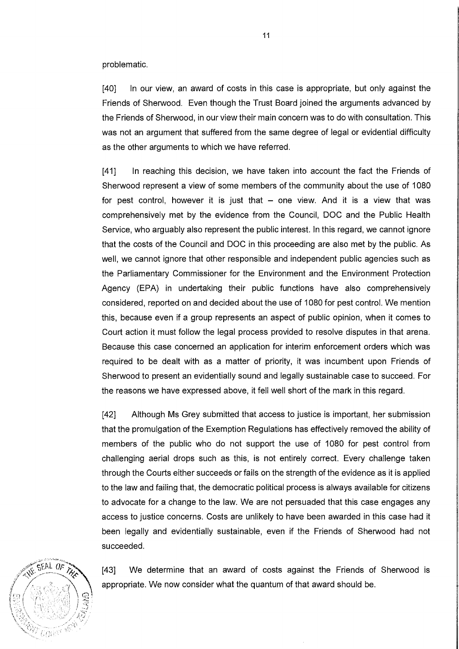problematic.

[40] In our view, an award of costs in this case is appropriate, but only against the Friends of Sherwood. Even though the Trust Board joined the arguments advanced by the Friends of Sherwood, in our view their main concern was to do with consultation. This was not an argument that suffered from the same degree of legal or evidential difficulty as the other arguments to which we have referred.

[41] In reaching this decision, we have taken into account the fact the Friends of Sherwood represent a view of some members of the community about the use of 1080 for pest control, however it is just that  $-$  one view. And it is a view that was comprehensively met by the evidence from the Council, DOC and the Public Health Service, who arguably also represent the public interest. In this regard, we cannot ignore that the costs of the Council and DOC in this proceeding are also met by the public. As well, we cannot ignore that other responsible and independent public agencies such as the Parliamentary Commissioner for the Environment and the Environment Protection Agency (EPA) in undertaking their public functions have also comprehensively considered, reported on and decided about the use of 1080 for pest control. We mention this, because even if a group represents an aspect of public opinion, when it comes to Court action it must follow the legal process provided to resolve disputes in that arena. Because this case concerned an application for interim enforcement orders which was required to be dealt with as a matter of priority, it was incumbent upon Friends of Sherwood to present an evidentially sound and legally sustainable case to succeed. For the reasons we have expressed above, it fell well short of the mark in this regard.

[42] Although Ms Grey submitted that access to justice is important, her submission that the promulgation of the Exemption Regulations has effectively removed the ability of members of the public who do not support the use of 1080 for pest control from challenging aerial drops such as this, is not entirely correct. Every challenge taken through the Courts either succeeds or fails on the strength of the evidence as it is applied to the law and failing that, the democratic political process is always available for citizens to advocate for a change to the law. We are not persuaded that this case engages any access to justice concerns. Costs are unlikely to have been awarded in this case had it been legally and evidentially sustainable, even if the Friends of Sherwood had not succeeded.



[43] We determine that an award of costs against the Friends of Sherwood is appropriate. We now consider what the quantum of that award should be.